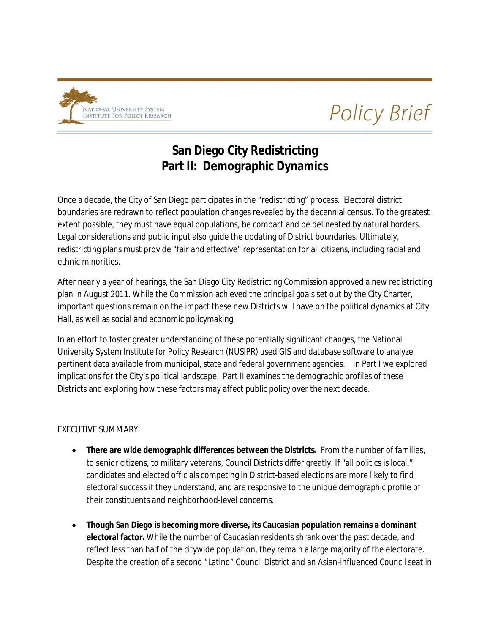

**Policy Brief** 

# **San Diego City Redistricting San Diego Part II: Demographic Dynamics**

Once a decade, the City of San Diego participates in the "redistricting" process. Electoral district Once a decade, the City of San Diego participates in the "redistricting" process. Electoral district<br>boundaries are redrawn to reflect population changes revealed by the decennial census. To the greatest extent possible, they must have equal populations, be compact and be delineated by natural borders. Legal considerations and public input also guide the updating of District boundaries. Ultimately, redistricting plans must provide "fair and effective" representation for all citizens, including racial and ethnic minorities. Legal considerations and public input also guide the updating of District boundaries. Ultimately,<br>redistricting plans must provide "fair and effective" representation for all citizens, including racial and<br>ethnic minoritie

plan in August 2011. While the Commission achieved the principal goals set out by the City Charter, important questions remain on the impact these new Districts will have on the political dynamics at City Hall, as well as social and economic social and economic policymaking.

In an effort to foster greater understanding of these potentially significant changes, the National University System Institute for Policy Research (NUSIPR) used GIS and database software to analyze University System Institute for Policy Research (NUSIPR) used GIS and database software to ar<br>pertinent data available from municipal, state and federal government agencies. In Part I we implications for the City's political landscape. Part II examines the demographic profiles of these Districts and exploring how these factors may affect public policy over the next decade. by the City Charter,<br>bolitical dynamics at City<br>ges, the National<br>software to analyze<br>. In Part I we explored

### EXECUTIVE SUMMARY

- **There are wide demographic differences between the Districts. From the number of families,** to senior citizens, to military veterans, Council Districts differ greatly. If "all politics is local," candidates and elected officials competing in District-based elections are more likely to find electoral success if they understand, and are responsive to the unique demographic profile of their constituents and neighborhood-level concerns. decade.<br>the number of famil<br>"all politics is local,"<br>e more likely to find
- **•** Though San Diego is becoming more diverse, its Caucasian population remains a dominant electoral factor. While the number of Caucasian residents shrank over the past decade, and reflect less than half of the citywide population, they remain a large majority of the electorate. Despite the creation of a second "Latino" Council District and an Asian-influenced Council seat in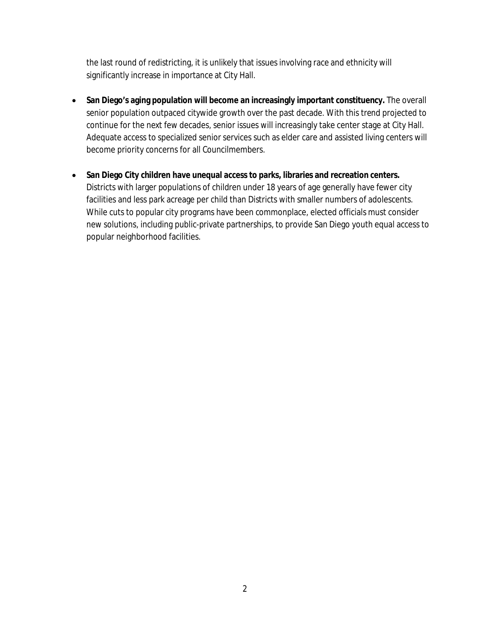the last round of redistricting, it is unlikely that issues involving race and ethnicity will significantly increase in importance at City Hall.

- **San Diego's aging population will become an increasingly important constituency.** The overall senior population outpaced citywide growth over the past decade. With this trend projected to continue for the next few decades, senior issues will increasingly take center stage at City Hall. Adequate access to specialized senior services such as elder care and assisted living centers will become priority concerns for all Councilmembers.
- **San Diego City children have unequal access to parks, libraries and recreation centers.** Districts with larger populations of children under 18 years of age generally have fewer city facilities and less park acreage per child than Districts with smaller numbers of adolescents. While cuts to popular city programs have been commonplace, elected officials must consider new solutions, including public-private partnerships, to provide San Diego youth equal access to popular neighborhood facilities.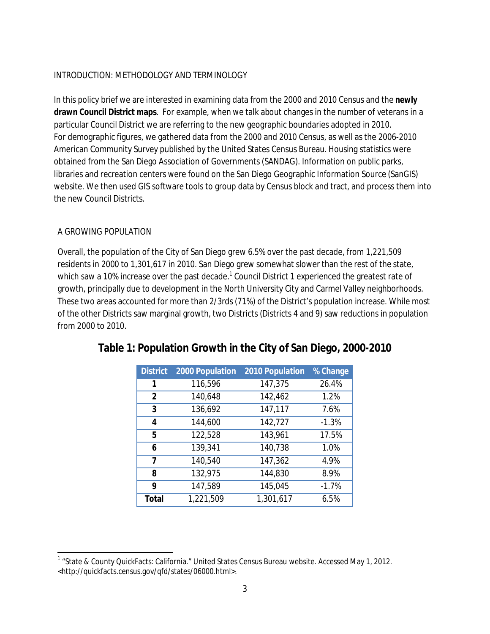## INTRODUCTION: METHODOLOGY AND TERMINOLOGY

In this policy brief we are interested in examining data from the 2000 and 2010 Census and the *newly* **drawn Council District maps**. For example, when we talk about changes in the number of veterans in a particular Council District we are referring to the new geographic boundaries adopted in 2010. For demographic figures, we gathered data from the 2000 and 2010 Census, as well as the 2006-2010 American Community Survey published by the United States Census Bureau. Housing statistics were obtained from the San Diego Association of Governments (SANDAG). Information on public parks, libraries and recreation centers were found on the San Diego Geographic Information Source (SanGIS) website. We then used GIS software tools to group data by Census block and tract, and process them into the *new* Council Districts.

## A GROWING POPULATION

Overall, the population of the City of San Diego grew 6.5% over the past decade, from 1,221,509 residents in 2000 to 1,301,617 in 2010. San Diego grew somewhat slower than the rest of the state, which saw a 10% increase over the past decade.<sup>1</sup> Council District 1 experienced the greatest rate of growth, principally due to development in the North University City and Carmel Valley neighborhoods. These two areas accounted for more than 2/3rds (71%) of the District's population increase. While most of the other Districts saw marginal growth, two Districts (Districts 4 and 9) saw reductions in population from 2000 to 2010.

| <b>District</b> | 2000 Population | 2010 Population | % Change |
|-----------------|-----------------|-----------------|----------|
| 1               | 116,596         | 147,375         | 26.4%    |
| 2               | 140,648         | 142,462         | 1.2%     |
| 3               | 136,692         | 147,117         | 7.6%     |
| 4               | 144,600         | 142,727         | $-1.3%$  |
| 5               | 122,528         | 143,961         | 17.5%    |
| 6               | 139,341         | 140,738         | 1.0%     |
| 7               | 140,540         | 147,362         | 4.9%     |
| 8               | 132,975         | 144,830         | 8.9%     |
| 9               | 147,589         | 145,045         | $-1.7%$  |
| Total           | 1,221,509       | 1,301,617       | 6.5%     |

## **Table 1: Population Growth in the City of San Diego, 2000-2010**

l <sup>1</sup> "State & County QuickFacts: California." United States Census Bureau website. Accessed May 1, 2012. <http://quickfacts.census.gov/qfd/states/06000.html>.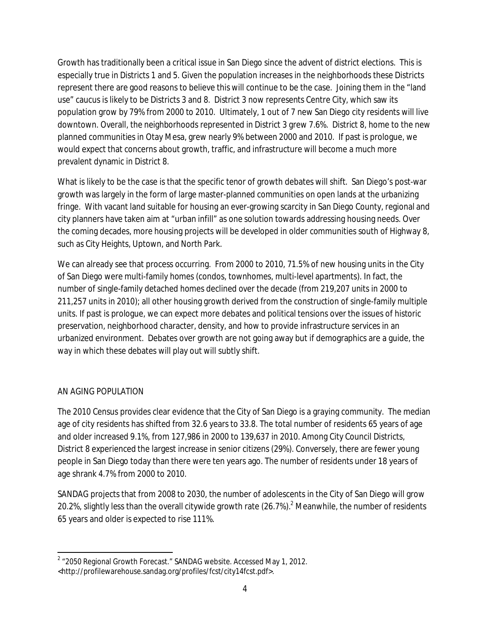Growth has traditionally been a critical issue in San Diego since the advent of district elections. This is especially true in Districts 1 and 5. Given the population increases in the neighborhoods these Districts represent there are good reasons to believe this will continue to be the case. Joining them in the "land use" caucus is likely to be Districts 3 and 8. District 3 now represents Centre City, which saw its population grow by 79% from 2000 to 2010. Ultimately, 1 out of 7 new San Diego city residents will live downtown. Overall, the neighborhoods represented in District 3 grew 7.6%. District 8, home to the new planned communities in Otay Mesa, grew nearly 9% between 2000 and 2010. If past is prologue, we would expect that concerns about growth, traffic, and infrastructure will become a much more prevalent dynamic in District 8.

What is likely to be the case is that the specific tenor of growth debates will shift. San Diego's post-war growth was largely in the form of large master-planned communities on open lands at the urbanizing fringe. With vacant land suitable for housing an ever-growing scarcity in San Diego County, regional and city planners have taken aim at "urban infill" as one solution towards addressing housing needs. Over the coming decades, more housing projects will be developed in older communities south of Highway 8, such as City Heights, Uptown, and North Park.

We can already see that process occurring. From 2000 to 2010, 71.5% of new housing units in the City of San Diego were multi-family homes (condos, townhomes, multi-level apartments). In fact, the number of single-family detached homes declined over the decade (from 219,207 units in 2000 to 211,257 units in 2010); all other housing growth derived from the construction of single-family multiple units. If past is prologue, we can expect more debates and political tensions over the issues of historic preservation, neighborhood character, density, and how to provide infrastructure services in an urbanized environment. Debates over growth are not going away but if demographics are a guide, the way in which these debates will play out will subtly shift.

### AN AGING POPULATION

The 2010 Census provides clear evidence that the City of San Diego is a graying community. The median age of city residents has shifted from 32.6 years to 33.8. The total number of residents 65 years of age and older increased 9.1%, from 127,986 in 2000 to 139,637 in 2010. Among City Council Districts, District 8 experienced the largest increase in senior citizens (29%). Conversely, there are fewer young people in San Diego today than there were ten years ago. The number of residents under 18 years of age shrank 4.7% from 2000 to 2010.

SANDAG projects that from 2008 to 2030, the number of adolescents in the City of San Diego will grow 20.2%, slightly less than the overall citywide growth rate  $(26.7%)$ <sup>2</sup> Meanwhile, the number of residents 65 years and older is expected to rise 111%.

 $\overline{a}$  $2\,$  "2050 Regional Growth Forecast." SANDAG website. Accessed May 1, 2012. <http://profilewarehouse.sandag.org/profiles/fcst/city14fcst.pdf>.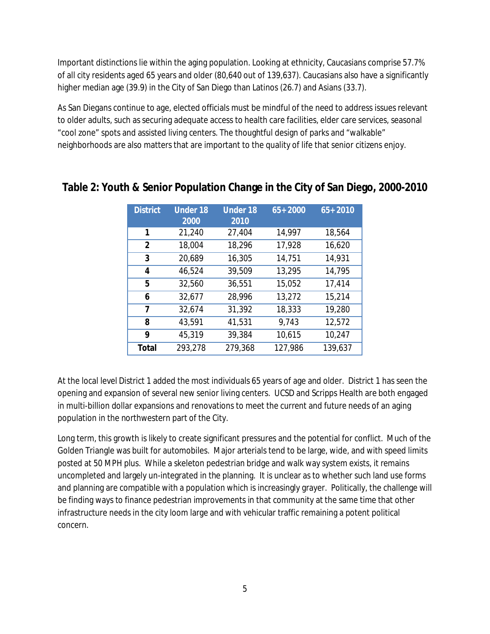Important distinctions lie within the aging population. Looking at ethnicity, Caucasians comprise 57.7% of all city residents aged 65 years and older (80,640 out of 139,637). Caucasians also have a significantly higher median age (39.9) in the City of San Diego than Latinos (26.7) and Asians (33.7).

As San Diegans continue to age, elected officials must be mindful of the need to address issues relevant to older adults, such as securing adequate access to health care facilities, elder care services, seasonal "cool zone" spots and assisted living centers. The thoughtful design of parks and "walkable" neighborhoods are also matters that are important to the quality of life that senior citizens enjoy.

| <b>District</b> | <b>Under 18</b> | <b>Under 18</b> | $65 + 2000$ | $65 + 2010$ |
|-----------------|-----------------|-----------------|-------------|-------------|
|                 | 2000            | 2010            |             |             |
| 1               | 21,240          | 27,404          | 14,997      | 18,564      |
| 2               | 18,004          | 18,296          | 17,928      | 16,620      |
| 3               | 20,689          | 16,305          | 14,751      | 14,931      |
| 4               | 46,524          | 39,509          | 13,295      | 14,795      |
| 5               | 32,560          | 36,551          | 15,052      | 17,414      |
| 6               | 32,677          | 28,996          | 13,272      | 15,214      |
| 7               | 32,674          | 31,392          | 18,333      | 19,280      |
| 8               | 43,591          | 41,531          | 9,743       | 12,572      |
| 9               | 45,319          | 39,384          | 10,615      | 10,247      |
| Total           | 293,278         | 279,368         | 127,986     | 139,637     |

## **Table 2: Youth & Senior Population Change in the City of San Diego, 2000-2010**

At the local level District 1 added the most individuals 65 years of age and older. District 1 has seen the opening and expansion of several new senior living centers. UCSD and Scripps Health are both engaged in multi-billion dollar expansions and renovations to meet the current and future needs of an aging population in the northwestern part of the City.

Long term, this growth is likely to create significant pressures and the potential for conflict. Much of the Golden Triangle was built for automobiles. Major arterials tend to be large, wide, and with speed limits posted at 50 MPH plus. While a skeleton pedestrian bridge and walk way system exists, it remains uncompleted and largely un-integrated in the planning. It is unclear as to whether such land use forms and planning are compatible with a population which is increasingly grayer. Politically, the challenge will be finding ways to finance pedestrian improvements in that community at the same time that other infrastructure needs in the city loom large and with vehicular traffic remaining a potent political concern.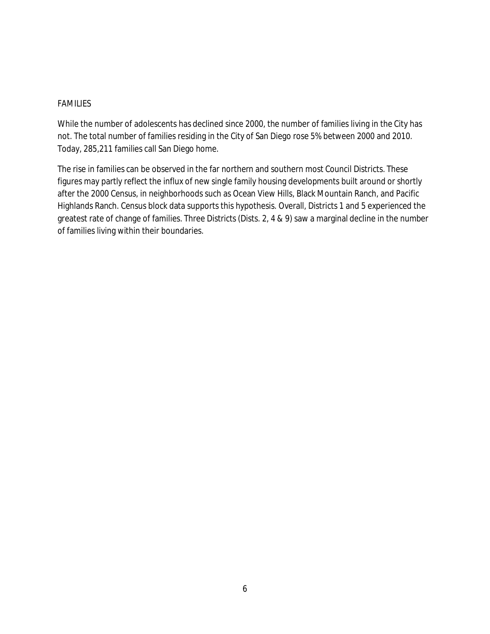#### FAMILIES

While the number of adolescents has declined since 2000, the number of families living in the City has not. The total number of families residing in the City of San Diego rose 5% between 2000 and 2010. Today, 285,211 families call San Diego home.

The rise in families can be observed in the far northern and southern most Council Districts. These figures may partly reflect the influx of new single family housing developments built around or shortly after the 2000 Census, in neighborhoods such as Ocean View Hills, Black Mountain Ranch, and Pacific Highlands Ranch. Census block data supports this hypothesis. Overall, Districts 1 and 5 experienced the greatest rate of change of families. Three Districts (Dists. 2, 4 & 9) saw a marginal decline in the number of families living within their boundaries.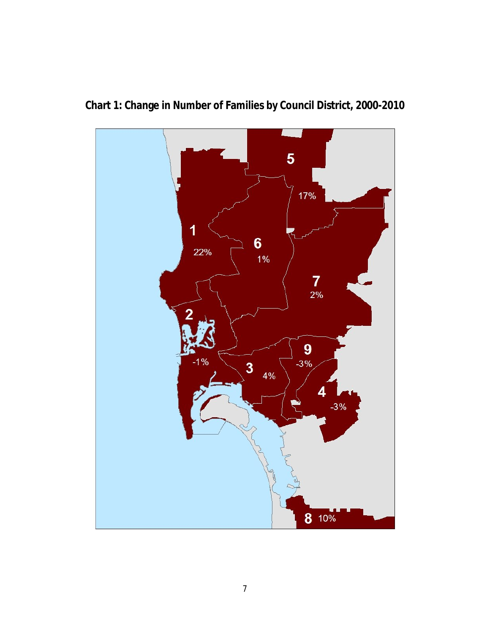

**Chart 1: Change in Number of Families by Council District, 2000-2010**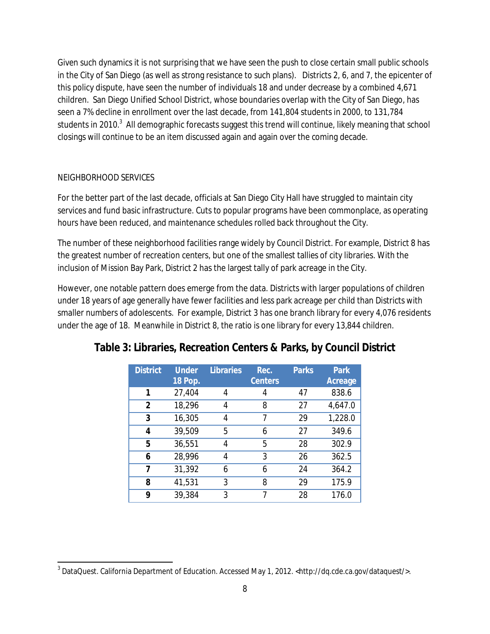Given such dynamics it is not surprising that we have seen the push to close certain small public schools in the City of San Diego (as well as strong resistance to such plans). Districts 2, 6, and 7, the epicenter of this policy dispute, have seen the number of individuals 18 and under decrease by a combined 4,671 children. San Diego Unified School District, whose boundaries overlap with the City of San Diego, has seen a 7% decline in enrollment over the last decade, from 141,804 students in 2000, to 131,784 students in 2010.<sup>3</sup> All demographic forecasts suggest this trend will continue, likely meaning that school closings will continue to be an item discussed again and again over the coming decade.

## NEIGHBORHOOD SERVICES

For the better part of the last decade, officials at San Diego City Hall have struggled to maintain city services and fund basic infrastructure. Cuts to popular programs have been commonplace, as operating hours have been reduced, and maintenance schedules rolled back throughout the City.

The number of these neighborhood facilities range widely by Council District. For example, District 8 has the greatest number of recreation centers, but one of the smallest tallies of city libraries. With the inclusion of Mission Bay Park, District 2 has the largest tally of park acreage in the City.

However, one notable pattern does emerge from the data. Districts with larger populations of children under 18 years of age generally have fewer facilities and less park acreage per child than Districts with smaller numbers of adolescents. For example, District 3 has one branch library for every 4,076 residents under the age of 18. Meanwhile in District 8, the ratio is one library for every 13,844 children.

| <b>District</b> | <b>Under</b><br>18 Pop. | Libraries | Rec.<br>Centers | <b>Parks</b> | Park<br>Acreage |
|-----------------|-------------------------|-----------|-----------------|--------------|-----------------|
| 1               | 27,404                  | 4         |                 | 47           | 838.6           |
|                 |                         |           |                 |              |                 |
| $\overline{2}$  | 18,296                  | 4         | 8               | 27           | 4,647.0         |
| 3               | 16,305                  |           | 7               | 29           | 1,228.0         |
| 4               | 39,509                  | 5         | 6               | 27           | 349.6           |
| 5               | 36,551                  | 4         | 5               | 28           | 302.9           |
| 6               | 28,996                  | 4         | 3               | 26           | 362.5           |
| 7               | 31,392                  | 6         | 6               | 24           | 364.2           |
| 8               | 41,531                  | 3         | 8               | 29           | 175.9           |
| 9               | 39,384                  | 3         | 7               | 28           | 176.0           |

## **Table 3: Libraries, Recreation Centers & Parks, by Council District**

 $\overline{a}$ <sup>3</sup> DataQuest. California Department of Education. Accessed May 1, 2012. <http://dq.cde.ca.gov/dataquest/>.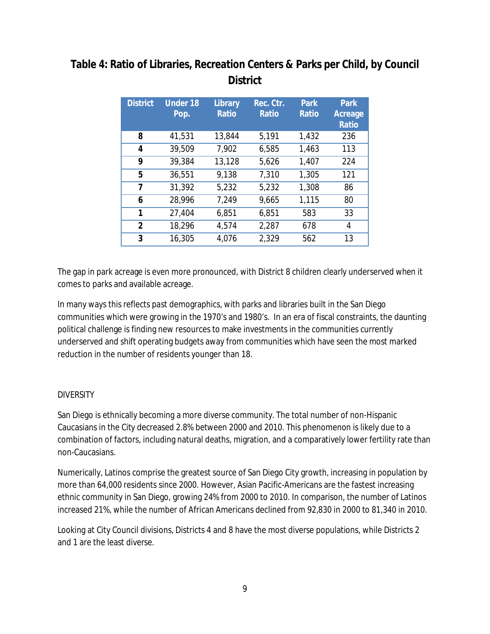## **Table 4: Ratio of Libraries, Recreation Centers & Parks per Child, by Council District**

| <b>District</b> | <b>Under 18</b><br>Pop. | Library<br>Ratio | Rec. Ctr.<br>Ratio | Park<br>Ratio | Park<br>Acreage<br>Ratio |
|-----------------|-------------------------|------------------|--------------------|---------------|--------------------------|
| 8               | 41,531                  | 13,844           | 5,191              | 1,432         | 236                      |
| 4               | 39,509                  | 7,902            | 6,585              | 1,463         | 113                      |
| 9               | 39,384                  | 13,128           | 5,626              | 1,407         | 224                      |
| 5               | 36,551                  | 9,138            | 7,310              | 1,305         | 121                      |
| 7               | 31,392                  | 5,232            | 5,232              | 1,308         | 86                       |
| 6               | 28,996                  | 7,249            | 9,665              | 1,115         | 80                       |
| 1               | 27,404                  | 6,851            | 6,851              | 583           | 33                       |
| 2               | 18,296                  | 4,574            | 2,287              | 678           | 4                        |
| 3               | 16,305                  | 4,076            | 2,329              | 562           | 13                       |

The gap in park acreage is even more pronounced, with District 8 children clearly underserved when it comes to parks and available acreage.

In many ways this reflects *past* demographics, with parks and libraries built in the San Diego communities which were growing in the 1970's and 1980's. In an era of fiscal constraints, the daunting political challenge is finding new resources to make investments in the communities currently underserved and shift operating budgets away from communities which have seen the most marked reduction in the number of residents younger than 18.

### **DIVERSITY**

San Diego is ethnically becoming a more diverse community. The total number of non-Hispanic Caucasians in the City decreased 2.8% between 2000 and 2010. This phenomenon is likely due to a combination of factors, including natural deaths, migration, and a comparatively lower fertility rate than non-Caucasians.

Numerically, Latinos comprise the greatest source of San Diego City growth, increasing in population by more than 64,000 residents since 2000. However, Asian Pacific-Americans are the fastest increasing ethnic community in San Diego, growing 24% from 2000 to 2010. In comparison, the number of Latinos increased 21%, while the number of African Americans declined from 92,830 in 2000 to 81,340 in 2010.

Looking at City Council divisions, Districts 4 and 8 have the most diverse populations, while Districts 2 and 1 are the least diverse.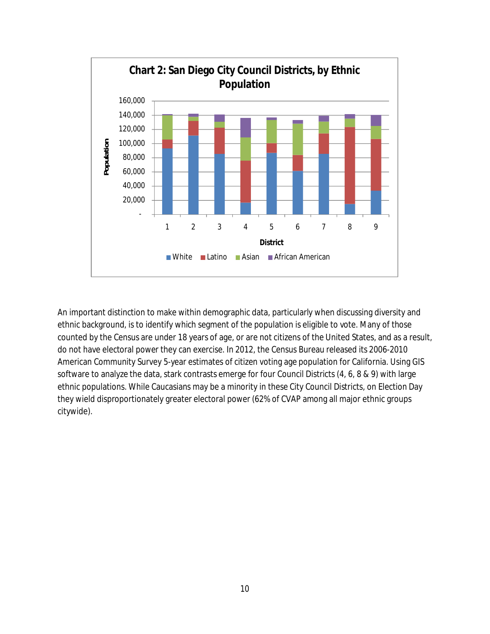

An important distinction to make within demographic data, particularly when discussing diversity and ethnic background, is to identify which segment of the population is eligible to vote. Many of those counted by the Census are under 18 years of age, or are not citizens of the United States, and as a result, do not have electoral power they can exercise. In 2012, the Census Bureau released its 2006-2010 American Community Survey 5-year estimates of citizen voting age population for California. Using GIS software to analyze the data, stark contrasts emerge for four Council Districts (4, 6, 8 & 9) with large ethnic populations. While Caucasians may be a minority in these City Council Districts, on Election Day they wield disproportionately greater electoral power (62% of CVAP among all major ethnic groups citywide).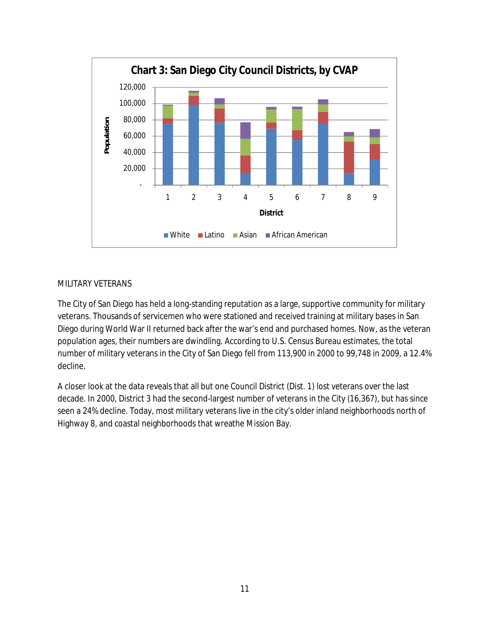

#### MILITARY VETERANS

The City of San Diego has held a long-standing reputation as a large, supportive community for military veterans. Thousands of servicemen who were stationed and received training at military bases in San Diego during World War II returned back after the war's end and purchased homes. Now, as the veteran population ages, their numbers are dwindling. According to U.S. Census Bureau estimates, the total number of military veterans in the City of San Diego fell from 113,900 in 2000 to 99,748 in 2009, a 12.4% decline.

A closer look at the data reveals that all but one Council District (Dist. 1) lost veterans over the last decade. In 2000, District 3 had the second-largest number of veterans in the City (16,367), but has since seen a 24% decline. Today, most military veterans live in the city's older inland neighborhoods north of Highway 8, and coastal neighborhoods that wreathe Mission Bay.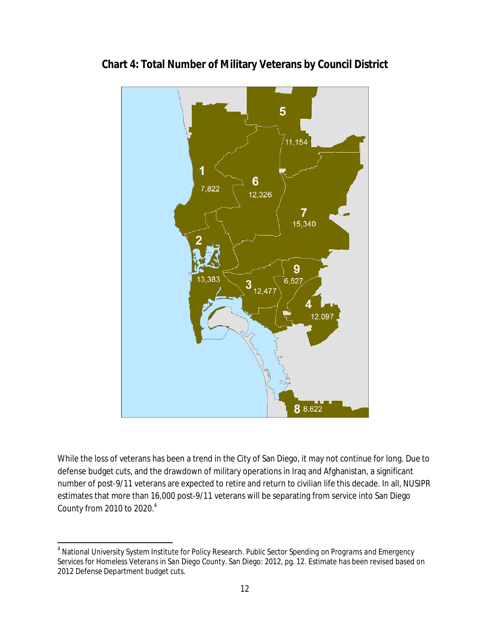

**Chart 4: Total Number of Military Veterans by Council District**

While the loss of veterans has been a trend in the City of San Diego, it may not continue for long. Due to defense budget cuts, and the drawdown of military operations in Iraq and Afghanistan, a significant number of post-9/11 veterans are expected to retire and return to civilian life this decade. In all, NUSIPR estimates that more than 16,000 post-9/11 veterans will be separating from service into San Diego County from 2010 to 2020.<sup>4</sup>

 $\overline{a}$ 

<sup>4</sup> National University System Institute for Policy Research. *Public Sector Spending on Programs and Emergency Services for Homeless Veterans in San Diego County*. San Diego: 2012, pg. 12. Estimate has been revised based on 2012 Defense Department budget cuts.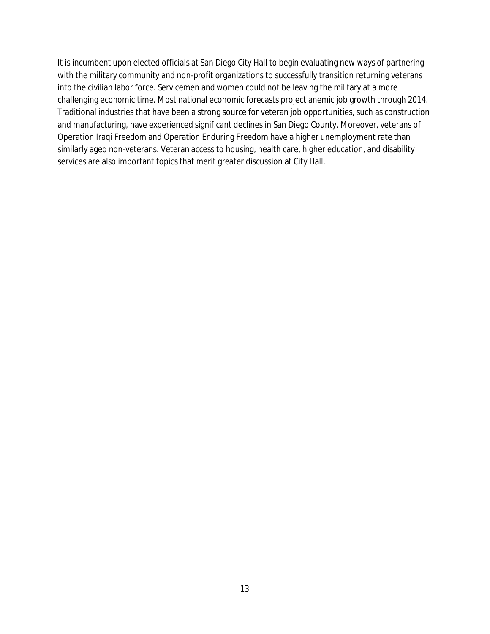It is incumbent upon elected officials at San Diego City Hall to begin evaluating new ways of partnering with the military community and non-profit organizations to successfully transition returning veterans into the civilian labor force. Servicemen and women could not be leaving the military at a more challenging economic time. Most national economic forecasts project anemic job growth through 2014. Traditional industries that have been a strong source for veteran job opportunities, such as construction and manufacturing, have experienced significant declines in San Diego County. Moreover, veterans of Operation Iraqi Freedom and Operation Enduring Freedom have a higher unemployment rate than similarly aged non-veterans. Veteran access to housing, health care, higher education, and disability services are also important topics that merit greater discussion at City Hall.